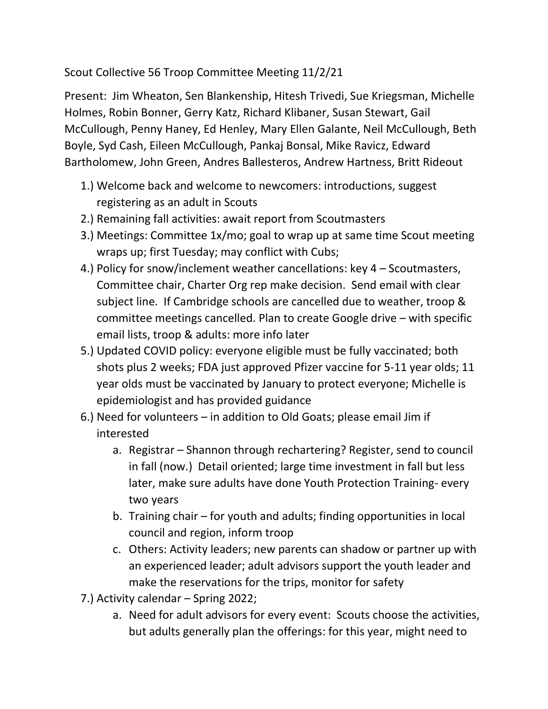Scout Collective 56 Troop Committee Meeting 11/2/21

Present: Jim Wheaton, Sen Blankenship, Hitesh Trivedi, Sue Kriegsman, Michelle Holmes, Robin Bonner, Gerry Katz, Richard Klibaner, Susan Stewart, Gail McCullough, Penny Haney, Ed Henley, Mary Ellen Galante, Neil McCullough, Beth Boyle, Syd Cash, Eileen McCullough, Pankaj Bonsal, Mike Ravicz, Edward Bartholomew, John Green, Andres Ballesteros, Andrew Hartness, Britt Rideout

- 1.) Welcome back and welcome to newcomers: introductions, suggest registering as an adult in Scouts
- 2.) Remaining fall activities: await report from Scoutmasters
- 3.) Meetings: Committee 1x/mo; goal to wrap up at same time Scout meeting wraps up; first Tuesday; may conflict with Cubs;
- 4.) Policy for snow/inclement weather cancellations: key 4 Scoutmasters, Committee chair, Charter Org rep make decision. Send email with clear subject line. If Cambridge schools are cancelled due to weather, troop & committee meetings cancelled. Plan to create Google drive – with specific email lists, troop & adults: more info later
- 5.) Updated COVID policy: everyone eligible must be fully vaccinated; both shots plus 2 weeks; FDA just approved Pfizer vaccine for 5-11 year olds; 11 year olds must be vaccinated by January to protect everyone; Michelle is epidemiologist and has provided guidance
- 6.) Need for volunteers in addition to Old Goats; please email Jim if interested
	- a. Registrar Shannon through rechartering? Register, send to council in fall (now.) Detail oriented; large time investment in fall but less later, make sure adults have done Youth Protection Training- every two years
	- b. Training chair for youth and adults; finding opportunities in local council and region, inform troop
	- c. Others: Activity leaders; new parents can shadow or partner up with an experienced leader; adult advisors support the youth leader and make the reservations for the trips, monitor for safety
- 7.) Activity calendar Spring 2022;
	- a. Need for adult advisors for every event: Scouts choose the activities, but adults generally plan the offerings: for this year, might need to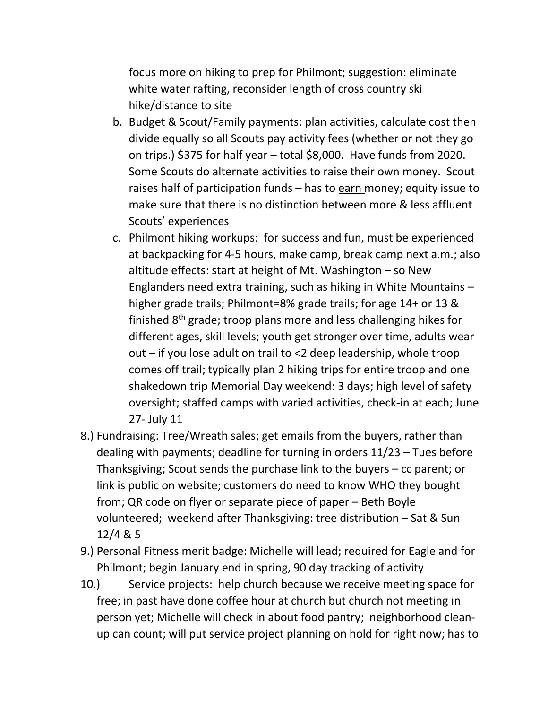focus more on hiking to prep for Philmont; suggestion: eliminate white water rafting, reconsider length of cross country ski hike/distance to site

- b. Budget & Scout/Family payments: plan activities, calculate cost then divide equally so all Scouts pay activity fees (whether or not they go on trips.) \$375 for half year – total \$8,000. Have funds from 2020. Some Scouts do alternate activities to raise their own money. Scout raises half of participation funds – has to earn money; equity issue to make sure that there is no distinction between more & less affluent Scouts' experiences
- c. Philmont hiking workups: for success and fun, must be experienced at backpacking for 4-5 hours, make camp, break camp next a.m.; also altitude effects: start at height of Mt. Washington – so New Englanders need extra training, such as hiking in White Mountains – higher grade trails; Philmont=8% grade trails; for age 14+ or 13 & finished 8th grade; troop plans more and less challenging hikes for different ages, skill levels; youth get stronger over time, adults wear out – if you lose adult on trail to <2 deep leadership, whole troop comes off trail; typically plan 2 hiking trips for entire troop and one shakedown trip Memorial Day weekend: 3 days; high level of safety oversight; staffed camps with varied activities, check-in at each; June 27- July 11
- 8.) Fundraising: Tree/Wreath sales; get emails from the buyers, rather than dealing with payments; deadline for turning in orders 11/23 – Tues before Thanksgiving; Scout sends the purchase link to the buyers – cc parent; or link is public on website; customers do need to know WHO they bought from; QR code on flyer or separate piece of paper – Beth Boyle volunteered; weekend after Thanksgiving: tree distribution – Sat & Sun 12/4 & 5
- 9.) Personal Fitness merit badge: Michelle will lead; required for Eagle and for Philmont; begin January end in spring, 90 day tracking of activity
- 10.) Service projects: help church because we receive meeting space for free; in past have done coffee hour at church but church not meeting in person yet; Michelle will check in about food pantry; neighborhood cleanup can count; will put service project planning on hold for right now; has to